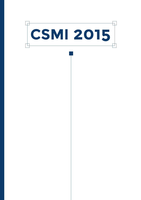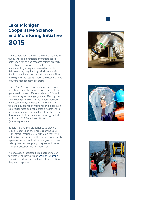### **Lake Michigan Cooperative Science and Monitoring Initiative 2015**

The Cooperative Science and Monitoring Initiative (CSMI) is a binational effort that coordinates monitoring and research efforts on each Great Lake over a five-year cycle to improve understanding of aquatic ecosystems. CSMI field sampling is guided by priorities identified in Lakewide Action and Management Plans (LaMPs) and the results inform the development of future management programs.

The 2015 CSMI will coordinate a system-wide investigation of the links between Lake Michigan nearshore and offshore habitats. This will address a key knowledge gap identified by the Lake Michigan LaMP and the fishery management community: understanding the distribution and abundance of nutrients and biota such as invertebrates and fish across a nearshore to offshore gradient. The results will facilitate the development of the nearshore strategy called for in the 2012 Great Lakes Water Quality Agreement.

Illinois-Indiana Sea Grant hopes to provide regular updates on the progress of the 2015 CSMI effort through 2016. Although these will not deliver scientific results commensurate with a peer-reviewed publication, our goal is to provide updates on sampling progress and the key scientific questions being addressed.

We encourage interested stakeholders to contact Paris Collingsworth at [pcolling@purdue](mailto:pcolling%40purdue?subject=). edu with feedback on the kinds of information they want reported.





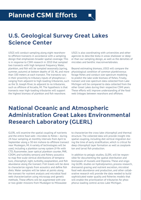# **U.S. Geological Survey Great Lakes Science Center**

USGS will conduct sampling along eight nearshoreto-offshore transects in accordance with a sampling design that emphasizes broader spatial coverage. This is in response to CSMI research in 2010 that sampled two transects with high temporal frequency. Water, plankton, and fish will be sampled seasonally (spring, summer, autumn) at bottom depths of 18, 46, and more than 100 meters at each transect. The transects vary in their proximity to tributary inputs of phosphorus ranging from adjacent to high-loading tributaries, such as the St. Joseph River, to adjacent to no tributaries, such as offshore of Arcadia, MI. The hypothesis is that transects near high-loading tributaries will support the highest biomass of plankton and fish nearshore.

USGS is also coordinating with universities and other agencies to describe biota in areas shallower or deeper than our sampling design, as well as the densities of microbes and benthic macroinvertebrates.

Beyond estimating biomass, USGS will compare the physiological condition of common planktivorous forage fishes and conduct size-spectrum modeling to predict the lake-wide biomass of fishes. Finally, transect and size-spectrum data collected from Lake Michigan will be compared to data collected from the other Great Lakes during their respective CSMI years. These efforts will improve understanding of the food web linkages between nearshore and offshore.

# **National Oceanic and Atmospheric Administration Great Lakes Environmental Research Laboratory (GLERL)**

GLERL will examine the spatial coupling of nutrients and the entire food web—microbes to fishes— during 24-hour sampling at monthly intervals from April to September along a 30-km inshore-to-offshore transect near Muskegon, MI. A variety of technologies will be used, including a plankton survey system (V-fin with CTD, fluorometer, laser optical plankton counter, PAR, CDOM, and turbidity sensors) and fishery acoustics to map fine-scale vertical distributions of temperature, chlorophyll, light, turbidity, zooplankton, and fish abundance along the transect. Fish trawls will be done to characterize signals from acoustics and define fish diets. Water samples will be taken at points along the transect for nutrient analysis and microbial food web characterization using microcopy and genetic methods. These efforts will be augmented with one or two glider missions from Muskegon to Milwaukee

to characterize the cross-lake chlorophyll and thermal structure. The collected data will provide insight into spatial coupling, including diel vertical migration during the time of early stratification, which is critical for deep chlorophyll layer formation as well as zooplankton and larval fish production.

In addition to pelagic studies, GLERL will be responsible for documenting the spatial distribution and biomasses of mussels and Diporeia. These and ongoing GLERL studies on hydrodynamics, process research, dreissenid grazing and nutrient excretion, microbial food web abundance and production, and other collaborative research will provide the data needed to build sophisticated water quality and fisheries models that will enable the prioritization of tributaries for phosphorus loading control across Lake Michigan.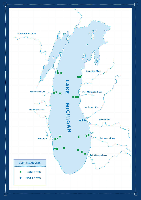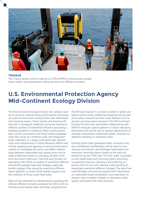

#### **TRIAXUS**

The Triaxus sensors will be used by U.S. EPA GLNPO to continuously sample lower trophic level parameters along nearshore-to-offshore transects.

## **U.S. Environmental Protection Agency Mid-Continent Ecology Division**

The Mid-Continent Ecology Division will conduct studies to improve understanding of the spatial and temporal scale of interactions among Great Lake watersheds and receiving waters. These studies will examine differences in ecological endpoints along the nearshoreoffshore gradient of watershed influence and along a temporal gradient of response. Water quality parameters will be examined at the finest temporal/spatial scale, fish larvae at a medium scale, and integrative biotic indicators at a larger scale (food web relationships and contaminants in biota). Research efforts will include updating and applying current eutrophication models to investigate the cause-and-effect relationships between watersheds and coastal zones and to make predictions based on changing climate conditions and future land uses. They will also include collaborating with USGS on studies of nearshore-offshore and benthic-pelagic food web linkages, especially benthic-pelagic links along the nearshore-offshore depth gradient, to assess multi-habitat support and the condition of Great Lakes food webs.

Data will be collected by collaboratively sampling the inshore-offshore transects proposed by USGS with traditional vessel-based water and biota sampling from

the *R/V Lake Explorer II*, as well as towed or glider-propelled sensor arrays. Additional sampling may be added to better characterize finer-scale features such as plumes and long-shore transport. The Mid-Continent Ecology Division also anticipates collaborating with NOAA to evaluate spatial patterns in biotic indicators, particularly fish larvae, and to explore applications of multiple autonomous underwater glider missions for adaptive sampling in nearshore areas.

Existing Great Lakes geospatial data, summary units, and classification frameworks will be used to characterize and classify Lake Michigan watersheds and nearshore receiving waters based on the data collected during the CSMI year. This will make it possible to rank watersheds and receiving waters according to potential stressors, resiliency, and buffering capacity, which in turn will improve understanding of watershed-nearshore-offshore linkages. The data from Lake Michigan will also be coupled with information on watershed-based remediation and restoration to explore ways to detect changes in nearshore water quality associated with both practices.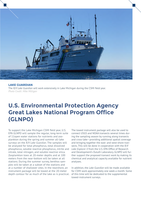

#### **LAKE GUARDIAN** The *R/V Lake Guardian* will work extensively in Lake Michigan during the CSMI field year. *Photo Credit: Mike Milligan*

## **U.S. Environmental Protection Agency Great Lakes National Program Office (GLNPO)**

To support the Lake Michigan CSMI field year, U.S. EPA GLNPO will sample the regular, long-term suite of 11open water stations for nutrients and zooplankton during the spring and summer all-lake surveys on the *R/V Lake Guardian*. The samples will be analyzed for total phosphorus, total dissolved phosphorus, soluble reactive phosphorus, nitrite and nitrate, total nitrogen, and soluble reactive silica. Zooplankton tows at 20-meter depths and at 100 meters from the near-bottom will be taken at all stations. During the summer survey, benthos samples will be taken at a subset of the stations and at a number of shallower sites. In the nearshore, an instrument package will be towed at the 20-meter depth contour for as much of the lake as is practical. of this time will be dedicated to the supplemental

The towed instrument package will also be used to connect USGS and NOAA transects several times during the sampling season by running along transects and cross-lake—providing additional spatial coverage and bringing together the east- and west-shore transects. This will be done in cooperation with the *R/V Lake Explorer II* from the U.S. EPA Office of Research and Development's Duluth Laboratory. GLNPO will further support the proposed transect work by making its chemical and analytical capacity available for nutrient analyses.

In addition, the *Lake Guardian* will be made available for CSMI work approximately one week a month. Some towed-instrument surveys.